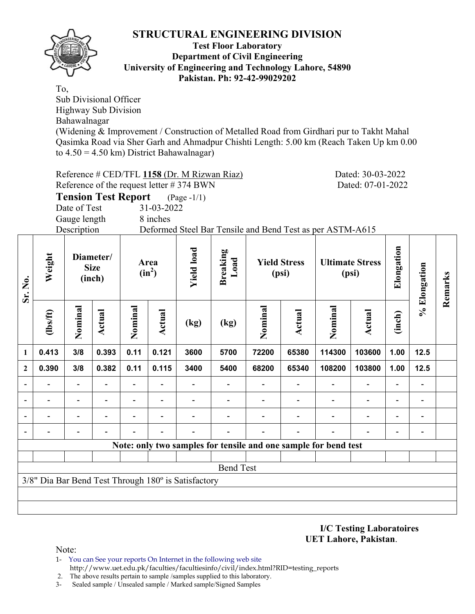

### **Test Floor Laboratory Department of Civil Engineering University of Engineering and Technology Lahore, 54890 Pakistan. Ph: 92-42-99029202**

To,

Sub Divisional Officer Highway Sub Division

Bahawalnagar

(Widening & Improvement / Construction of Metalled Road from Girdhari pur to Takht Mahal Qasimka Road via Sher Garh and Ahmadpur Chishti Length: 5.00 km (Reach Taken Up km 0.00 to  $4.50 = 4.50$  km) District Bahawalnagar)

|                | Reference # CED/TFL 1158 (Dr. M Rizwan Riaz)<br>Dated: 30-03-2022                                                                                                                   |              |        |         |                          |                                                     |                                                                 |         |        |         |                |        |                          |         |
|----------------|-------------------------------------------------------------------------------------------------------------------------------------------------------------------------------------|--------------|--------|---------|--------------------------|-----------------------------------------------------|-----------------------------------------------------------------|---------|--------|---------|----------------|--------|--------------------------|---------|
|                | Reference of the request letter #374 BWN<br>Dated: 07-01-2022<br><b>Tension Test Report</b><br>$(Page - 1/1)$                                                                       |              |        |         |                          |                                                     |                                                                 |         |        |         |                |        |                          |         |
|                |                                                                                                                                                                                     |              |        |         |                          |                                                     |                                                                 |         |        |         |                |        |                          |         |
|                |                                                                                                                                                                                     | Date of Test |        |         | 31-03-2022               |                                                     |                                                                 |         |        |         |                |        |                          |         |
|                |                                                                                                                                                                                     | Gauge length |        |         | 8 inches                 |                                                     |                                                                 |         |        |         |                |        |                          |         |
|                |                                                                                                                                                                                     | Description  |        |         |                          |                                                     | Deformed Steel Bar Tensile and Bend Test as per ASTM-A615       |         |        |         |                |        |                          |         |
| Sr. No.        | <b>Yield load</b><br><b>Breaking</b><br>Weight<br>Diameter/<br>Load<br><b>Yield Stress</b><br><b>Ultimate Stress</b><br>Area<br><b>Size</b><br>$(in^2)$<br>(psi)<br>(psi)<br>(inch) |              |        |         |                          |                                                     |                                                                 |         |        |         |                |        |                          | Remarks |
|                | (1bsft)                                                                                                                                                                             | Nominal      | Actual | Nominal | Actual                   | (kg)                                                | (kg)                                                            | Nominal | Actual | Nominal | Actual         | (inch) | % Elongation             |         |
| $\mathbf{1}$   | 0.413                                                                                                                                                                               | 3/8          | 0.393  | 0.11    | 0.121                    | 3600                                                | 5700                                                            | 72200   | 65380  | 114300  | 103600         | 1.00   | 12.5                     |         |
| $\overline{2}$ | 0.390                                                                                                                                                                               | 3/8          | 0.382  | 0.11    | 0.115                    | 3400                                                | 5400                                                            | 68200   | 65340  | 108200  | 103800         | 1.00   | $12.5$                   |         |
|                |                                                                                                                                                                                     |              |        |         |                          |                                                     |                                                                 |         |        |         |                |        |                          |         |
|                |                                                                                                                                                                                     |              |        |         | $\overline{\phantom{0}}$ |                                                     |                                                                 |         |        |         | $\blacksquare$ |        | $\overline{\phantom{a}}$ |         |
|                |                                                                                                                                                                                     |              |        |         |                          |                                                     |                                                                 |         |        |         |                |        |                          |         |
|                |                                                                                                                                                                                     |              |        |         |                          |                                                     |                                                                 |         |        |         |                |        |                          |         |
|                |                                                                                                                                                                                     |              |        |         |                          |                                                     | Note: only two samples for tensile and one sample for bend test |         |        |         |                |        |                          |         |
|                |                                                                                                                                                                                     |              |        |         |                          |                                                     |                                                                 |         |        |         |                |        |                          |         |
|                |                                                                                                                                                                                     |              |        |         |                          |                                                     | <b>Bend Test</b>                                                |         |        |         |                |        |                          |         |
|                |                                                                                                                                                                                     |              |        |         |                          | 3/8" Dia Bar Bend Test Through 180° is Satisfactory |                                                                 |         |        |         |                |        |                          |         |
|                |                                                                                                                                                                                     |              |        |         |                          |                                                     |                                                                 |         |        |         |                |        |                          |         |
|                |                                                                                                                                                                                     |              |        |         |                          |                                                     |                                                                 |         |        |         |                |        |                          |         |
|                |                                                                                                                                                                                     |              |        |         |                          |                                                     |                                                                 |         |        |         |                |        |                          |         |

**I/C Testing Laboratoires UET Lahore, Pakistan**.

Note:

1- You can See your reports On Internet in the following web site http://www.uet.edu.pk/faculties/facultiesinfo/civil/index.html?RID=testing\_reports

2. The above results pertain to sample /samples supplied to this laboratory.

3- Sealed sample / Unsealed sample / Marked sample/Signed Samples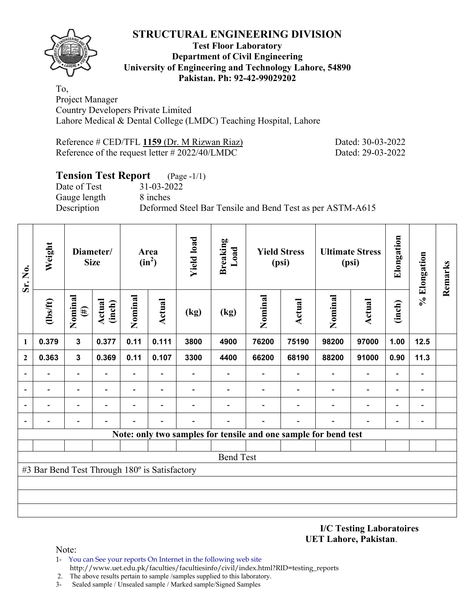

## **Test Floor Laboratory Department of Civil Engineering University of Engineering and Technology Lahore, 54890 Pakistan. Ph: 92-42-99029202**

To, Project Manager Country Developers Private Limited Lahore Medical & Dental College (LMDC) Teaching Hospital, Lahore

| Reference # CED/TFL 1159 (Dr. M Rizwan Riaz)       |  |  |  |
|----------------------------------------------------|--|--|--|
| Reference of the request letter $\# 2022/40$ /LMDC |  |  |  |

Dated: 30-03-2022 Dated: 29-03-2022

# **Tension Test Report** (Page -1/1)

Date of Test 31-03-2022 Gauge length 8 inches

Description Deformed Steel Bar Tensile and Bend Test as per ASTM-A615

| Sr. No.                  | Weight                                                            | Diameter/<br><b>Size</b> |                          | Area<br>$(in^2)$         |                          | <b>Yield load</b>        | <b>Breaking</b><br>Load                                         | <b>Yield Stress</b><br>(psi) |                          | <b>Ultimate Stress</b><br>(psi) |                          | Elongation               | % Elongation             | Remarks |
|--------------------------|-------------------------------------------------------------------|--------------------------|--------------------------|--------------------------|--------------------------|--------------------------|-----------------------------------------------------------------|------------------------------|--------------------------|---------------------------------|--------------------------|--------------------------|--------------------------|---------|
|                          | $\frac{2}{10}$                                                    | Nominal<br>$(\#)$        | Actual<br>(inch)         | Nominal                  | <b>Actual</b>            | (kg)                     | (kg)                                                            | Nominal                      | <b>Actual</b>            | Nominal                         | Actual                   | (inch)                   |                          |         |
| $\mathbf{1}$             | 0.379                                                             | $\mathbf{3}$             | 0.377                    | 0.11                     | 0.111                    | 3800                     | 4900                                                            | 76200                        | 75190                    | 98200                           | 97000                    | 1.00                     | 12.5                     |         |
| $\boldsymbol{2}$         | 0.363                                                             | $\mathbf{3}$             | 0.369                    | 0.11                     | 0.107                    | 3300                     | 4400                                                            | 66200                        | 68190                    | 88200                           | 91000                    | 0.90                     | 11.3                     |         |
|                          |                                                                   | $\overline{\phantom{a}}$ | $\overline{\phantom{0}}$ | $\overline{\phantom{0}}$ |                          |                          |                                                                 |                              | $\overline{\phantom{a}}$ | $\overline{\phantom{0}}$        | $\overline{\phantom{a}}$ | $\overline{\phantom{a}}$ | $\overline{\phantom{0}}$ |         |
| ۰                        | $\blacksquare$                                                    | $\overline{\phantom{0}}$ |                          | $\overline{\phantom{0}}$ | $\overline{\phantom{0}}$ | $\overline{\phantom{0}}$ |                                                                 |                              | $\overline{\phantom{0}}$ | $\overline{\phantom{0}}$        | $\overline{\phantom{0}}$ | $\overline{\phantom{a}}$ | $\overline{\phantom{a}}$ |         |
|                          |                                                                   | -                        |                          |                          |                          |                          |                                                                 |                              |                          | $\overline{\phantom{0}}$        | $\overline{\phantom{0}}$ | $\overline{\phantom{a}}$ | $\overline{\phantom{0}}$ |         |
| $\overline{\phantom{a}}$ |                                                                   | $\overline{\phantom{0}}$ |                          |                          |                          |                          |                                                                 |                              |                          |                                 | $\blacksquare$           | $\overline{\phantom{a}}$ | $\overline{\phantom{a}}$ |         |
|                          |                                                                   |                          |                          |                          |                          |                          | Note: only two samples for tensile and one sample for bend test |                              |                          |                                 |                          |                          |                          |         |
|                          |                                                                   |                          |                          |                          |                          |                          |                                                                 |                              |                          |                                 |                          |                          |                          |         |
|                          | <b>Bend Test</b><br>#3 Bar Bend Test Through 180° is Satisfactory |                          |                          |                          |                          |                          |                                                                 |                              |                          |                                 |                          |                          |                          |         |
|                          |                                                                   |                          |                          |                          |                          |                          |                                                                 |                              |                          |                                 |                          |                          |                          |         |
|                          |                                                                   |                          |                          |                          |                          |                          |                                                                 |                              |                          |                                 |                          |                          |                          |         |
|                          |                                                                   |                          |                          |                          |                          |                          |                                                                 |                              |                          |                                 |                          |                          |                          |         |
|                          |                                                                   |                          |                          |                          |                          |                          |                                                                 |                              |                          |                                 |                          |                          |                          |         |

**I/C Testing Laboratoires UET Lahore, Pakistan**.

Note:

- 1- You can See your reports On Internet in the following web site http://www.uet.edu.pk/faculties/facultiesinfo/civil/index.html?RID=testing\_reports
- 2. The above results pertain to sample /samples supplied to this laboratory.
- 3- Sealed sample / Unsealed sample / Marked sample/Signed Samples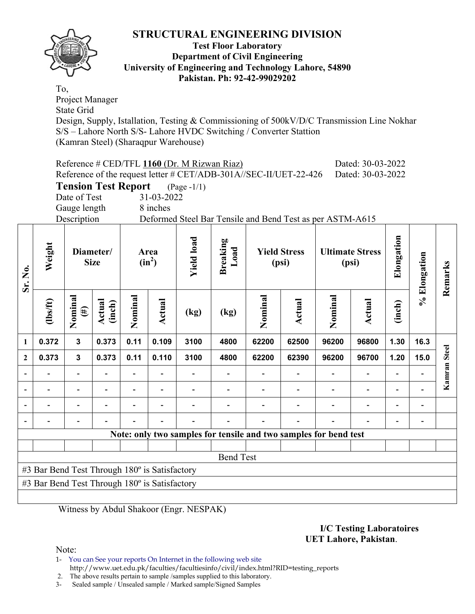

### **Test Floor Laboratory Department of Civil Engineering University of Engineering and Technology Lahore, 54890 Pakistan. Ph: 92-42-99029202**

To, Project Manager State Grid Design, Supply, Istallation, Testing & Commissioning of 500kV/D/C Transmission Line Nokhar S/S – Lahore North S/S- Lahore HVDC Switching / Converter Stattion (Kamran Steel) (Sharaqpur Warehouse)

|                | Reference # CED/TFL 1160 (Dr. M Rizwan Riaz)<br>Dated: 30-03-2022<br>Reference of the request letter # CET/ADB-301A//SEC-II/UET-22-426<br>Dated: 30-03-2022                                                        |                            |                  |                          |        |                |                  |         |        |         |                          |        |                          |              |
|----------------|--------------------------------------------------------------------------------------------------------------------------------------------------------------------------------------------------------------------|----------------------------|------------------|--------------------------|--------|----------------|------------------|---------|--------|---------|--------------------------|--------|--------------------------|--------------|
|                |                                                                                                                                                                                                                    | <b>Tension Test Report</b> |                  |                          |        | $(Page - 1/1)$ |                  |         |        |         |                          |        |                          |              |
|                | Date of Test<br>31-03-2022                                                                                                                                                                                         |                            |                  |                          |        |                |                  |         |        |         |                          |        |                          |              |
|                | 8 inches<br>Gauge length                                                                                                                                                                                           |                            |                  |                          |        |                |                  |         |        |         |                          |        |                          |              |
|                | Description<br>Deformed Steel Bar Tensile and Bend Test as per ASTM-A615                                                                                                                                           |                            |                  |                          |        |                |                  |         |        |         |                          |        |                          |              |
| Sr. No.        | Elongation<br><b>Yield load</b><br><b>Breaking</b><br>Weight<br>Load<br><b>Yield Stress</b><br>Diameter/<br><b>Ultimate Stress</b><br>Area<br>% Elongation<br>$(in^2)$<br><b>Size</b><br>(psi)<br>(psi)<br>Remarks |                            |                  |                          |        |                |                  |         |        |         |                          |        |                          |              |
|                | $\frac{1}{10}$                                                                                                                                                                                                     | Nominal<br>$(\#)$          | Actual<br>(inch) | Nominal                  | Actual | (kg)           | (kg)             | Nominal | Actual | Nominal | Actual                   | (inch) |                          |              |
| $\mathbf{1}$   | 0.372                                                                                                                                                                                                              | $\mathbf{3}$               | 0.373            | 0.11                     | 0.109  | 3100           | 4800             | 62200   | 62500  | 96200   | 96800                    | 1.30   | 16.3                     |              |
| $\overline{2}$ | 0.373                                                                                                                                                                                                              | $\overline{3}$             | 0.373            | 0.11                     | 0.110  | 3100           | 4800             | 62200   | 62390  | 96200   | 96700                    | 1.20   | 15.0                     | <b>Steel</b> |
|                |                                                                                                                                                                                                                    |                            |                  | $\overline{\phantom{0}}$ |        |                |                  |         |        |         |                          |        | $\overline{\phantom{0}}$ | Kamran       |
|                |                                                                                                                                                                                                                    |                            |                  |                          |        |                |                  |         |        |         | $\overline{\phantom{0}}$ |        |                          |              |
|                |                                                                                                                                                                                                                    |                            |                  |                          |        |                |                  |         |        |         |                          |        |                          |              |
|                |                                                                                                                                                                                                                    |                            |                  |                          |        |                |                  |         |        |         |                          |        |                          |              |
|                | Note: only two samples for tensile and two samples for bend test                                                                                                                                                   |                            |                  |                          |        |                |                  |         |        |         |                          |        |                          |              |
|                |                                                                                                                                                                                                                    |                            |                  |                          |        |                |                  |         |        |         |                          |        |                          |              |
|                |                                                                                                                                                                                                                    |                            |                  |                          |        |                | <b>Bend Test</b> |         |        |         |                          |        |                          |              |
|                | #3 Bar Bend Test Through 180° is Satisfactory                                                                                                                                                                      |                            |                  |                          |        |                |                  |         |        |         |                          |        |                          |              |
|                | #3 Bar Bend Test Through 180° is Satisfactory                                                                                                                                                                      |                            |                  |                          |        |                |                  |         |        |         |                          |        |                          |              |
|                |                                                                                                                                                                                                                    |                            |                  |                          |        |                |                  |         |        |         |                          |        |                          |              |

Witness by Abdul Shakoor (Engr. NESPAK)

### **I/C Testing Laboratoires UET Lahore, Pakistan**.

Note:

1- You can See your reports On Internet in the following web site http://www.uet.edu.pk/faculties/facultiesinfo/civil/index.html?RID=testing\_reports

2. The above results pertain to sample /samples supplied to this laboratory.

3- Sealed sample / Unsealed sample / Marked sample/Signed Samples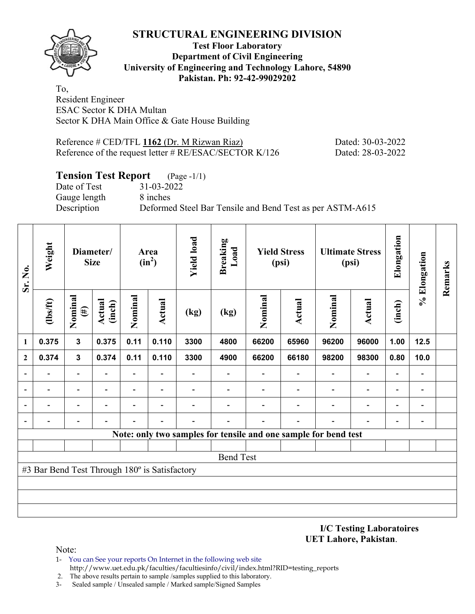**Test Floor Laboratory Department of Civil Engineering University of Engineering and Technology Lahore, 54890 Pakistan. Ph: 92-42-99029202** 

To, Resident Engineer ESAC Sector K DHA Multan Sector K DHA Main Office & Gate House Building

Reference # CED/TFL **1162** (Dr. M Rizwan Riaz) Dated: 30-03-2022 Reference of the request letter # RE/ESAC/SECTOR K/126 Dated: 28-03-2022

# **Tension Test Report** (Page -1/1)

Date of Test 31-03-2022 Gauge length 8 inches

Description Deformed Steel Bar Tensile and Bend Test as per ASTM-A615

| Sr. No.          | Weight                                        |                          | Diameter/<br><b>Size</b> | Area<br>$(in^2)$         |                          | <b>Yield load</b> | <b>Breaking</b><br>Load | <b>Yield Stress</b><br>(psi)                                    |                          | <b>Ultimate Stress</b><br>(psi) |                          | Elongation               | % Elongation                 | Remarks |
|------------------|-----------------------------------------------|--------------------------|--------------------------|--------------------------|--------------------------|-------------------|-------------------------|-----------------------------------------------------------------|--------------------------|---------------------------------|--------------------------|--------------------------|------------------------------|---------|
|                  | $\frac{2}{10}$                                | Nominal<br>$(\#)$        | <b>Actual</b><br>(inch)  | Nominal                  | <b>Actual</b>            | (kg)              | (kg)                    | Nominal                                                         | Actual                   | Nominal                         | <b>Actual</b>            | (inch)                   |                              |         |
| $\mathbf{1}$     | 0.375                                         | $\mathbf{3}$             | 0.375                    | 0.11                     | 0.110                    | 3300              | 4800                    | 66200                                                           | 65960                    | 96200                           | 96000                    | 1.00                     | 12.5                         |         |
| $\boldsymbol{2}$ | 0.374                                         | $\mathbf 3$              | 0.374                    | 0.11                     | 0.110                    | 3300              | 4900                    | 66200                                                           | 66180                    | 98200                           | 98300                    | 0.80                     | 10.0                         |         |
|                  | $\overline{\phantom{0}}$                      | $\overline{\phantom{a}}$ |                          | Ξ.                       |                          |                   |                         |                                                                 |                          | $\overline{\phantom{a}}$        | $\overline{\phantom{a}}$ | $\overline{\phantom{a}}$ | $\overline{\phantom{a}}$     |         |
|                  | $\blacksquare$                                | $\overline{\phantom{0}}$ | $\blacksquare$           | $\overline{\phantom{0}}$ | $\overline{\phantom{0}}$ |                   |                         |                                                                 | $\overline{\phantom{0}}$ | $\blacksquare$                  | $\overline{\phantom{0}}$ | $\blacksquare$           | $\blacksquare$               |         |
|                  | $\blacksquare$                                | $\overline{\phantom{0}}$ | $\blacksquare$           | $\overline{\phantom{0}}$ | $\overline{\phantom{0}}$ |                   |                         |                                                                 | $\overline{a}$           | $\overline{\phantom{0}}$        | $\overline{\phantom{a}}$ | -                        | $\qquad \qquad \blacksquare$ |         |
|                  | -                                             | $\overline{\phantom{a}}$ |                          |                          | $\overline{\phantom{0}}$ |                   |                         |                                                                 | Ē.                       |                                 | $\overline{\phantom{0}}$ | $\blacksquare$           | $\blacksquare$               |         |
|                  |                                               |                          |                          |                          |                          |                   |                         | Note: only two samples for tensile and one sample for bend test |                          |                                 |                          |                          |                              |         |
|                  |                                               |                          |                          |                          |                          |                   |                         |                                                                 |                          |                                 |                          |                          |                              |         |
|                  | <b>Bend Test</b>                              |                          |                          |                          |                          |                   |                         |                                                                 |                          |                                 |                          |                          |                              |         |
|                  | #3 Bar Bend Test Through 180° is Satisfactory |                          |                          |                          |                          |                   |                         |                                                                 |                          |                                 |                          |                          |                              |         |
|                  |                                               |                          |                          |                          |                          |                   |                         |                                                                 |                          |                                 |                          |                          |                              |         |
|                  |                                               |                          |                          |                          |                          |                   |                         |                                                                 |                          |                                 |                          |                          |                              |         |
|                  |                                               |                          |                          |                          |                          |                   |                         |                                                                 |                          |                                 |                          |                          |                              |         |

**I/C Testing Laboratoires UET Lahore, Pakistan**.

Note:

- 1- You can See your reports On Internet in the following web site http://www.uet.edu.pk/faculties/facultiesinfo/civil/index.html?RID=testing\_reports
- 2. The above results pertain to sample /samples supplied to this laboratory.
- 3- Sealed sample / Unsealed sample / Marked sample/Signed Samples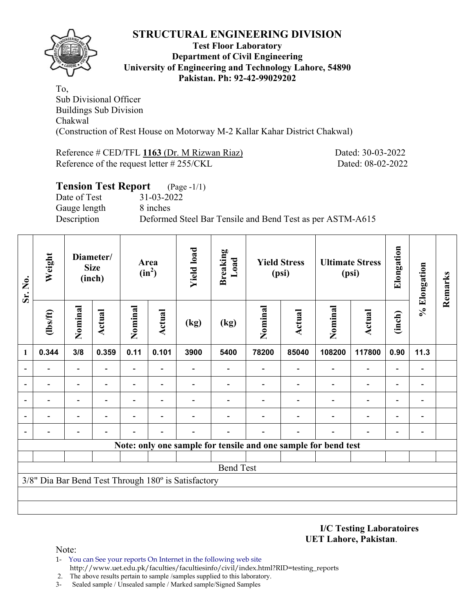

## **Test Floor Laboratory Department of Civil Engineering University of Engineering and Technology Lahore, 54890 Pakistan. Ph: 92-42-99029202**

To, Sub Divisional Officer Buildings Sub Division Chakwal (Construction of Rest House on Motorway M-2 Kallar Kahar District Chakwal)

Reference # CED/TFL 1163 (Dr. M Rizwan Riaz) Dated: 30-03-2022 Reference of the request letter # 255/CKL Dated: 08-02-2022

| <b>Tension Test Report</b> (Page -1/1) |                                                           |
|----------------------------------------|-----------------------------------------------------------|
| Date of Test                           | 31-03-2022                                                |
| Gauge length                           | 8 inches                                                  |
| Description                            | Deformed Steel Bar Tensile and Bend Test as per ASTM-A615 |
|                                        |                                                           |

| Sr. No. | Weight         | Diameter/<br><b>Size</b><br>(inch) |               | Area<br>$(in^2)$         |                          | <b>Yield load</b>                                   | <b>Breaking</b><br>Load | <b>Yield Stress</b><br>(psi) |               | <b>Ultimate Stress</b><br>(psi)                                |                          | Elongation               | % Elongation             | Remarks |
|---------|----------------|------------------------------------|---------------|--------------------------|--------------------------|-----------------------------------------------------|-------------------------|------------------------------|---------------|----------------------------------------------------------------|--------------------------|--------------------------|--------------------------|---------|
|         | $\frac{2}{10}$ | Nominal                            | <b>Actual</b> | Nominal                  | <b>Actual</b>            | (kg)                                                | (kg)                    | Nominal                      | <b>Actual</b> | Nominal                                                        | <b>Actual</b>            | (inch)                   |                          |         |
| 1       | 0.344          | 3/8                                | 0.359         | 0.11                     | 0.101                    | 3900                                                | 5400                    | 78200                        | 85040         | 108200                                                         | 117800                   | 0.90                     | 11.3                     |         |
|         |                | $\overline{\phantom{0}}$           |               | $\overline{\phantom{0}}$ |                          |                                                     |                         |                              |               |                                                                | $\overline{\phantom{a}}$ | $\blacksquare$           | $\overline{a}$           |         |
|         |                | $\overline{\phantom{a}}$           |               | $\blacksquare$           | $\overline{\phantom{0}}$ |                                                     |                         |                              |               | $\overline{\phantom{0}}$                                       | $\overline{\phantom{0}}$ | Ξ.                       | $\overline{\phantom{0}}$ |         |
|         |                | -                                  |               | $\overline{\phantom{0}}$ | $\overline{\phantom{0}}$ |                                                     |                         |                              |               |                                                                | $\overline{\phantom{0}}$ | Ξ.                       | $\overline{a}$           |         |
|         |                |                                    |               |                          |                          |                                                     |                         |                              |               |                                                                | -                        | $\overline{\phantom{0}}$ |                          |         |
|         |                |                                    |               |                          |                          |                                                     |                         |                              |               |                                                                | $\overline{\phantom{0}}$ | $\overline{\phantom{0}}$ | $\overline{a}$           |         |
|         |                |                                    |               |                          |                          |                                                     |                         |                              |               | Note: only one sample for tensile and one sample for bend test |                          |                          |                          |         |
|         |                |                                    |               |                          |                          |                                                     |                         |                              |               |                                                                |                          |                          |                          |         |
|         |                |                                    |               |                          |                          |                                                     | <b>Bend Test</b>        |                              |               |                                                                |                          |                          |                          |         |
|         |                |                                    |               |                          |                          | 3/8" Dia Bar Bend Test Through 180° is Satisfactory |                         |                              |               |                                                                |                          |                          |                          |         |
|         |                |                                    |               |                          |                          |                                                     |                         |                              |               |                                                                |                          |                          |                          |         |
|         |                |                                    |               |                          |                          |                                                     |                         |                              |               |                                                                |                          |                          |                          |         |

**I/C Testing Laboratoires UET Lahore, Pakistan**.

Note:

- 1- You can See your reports On Internet in the following web site http://www.uet.edu.pk/faculties/facultiesinfo/civil/index.html?RID=testing\_reports
- 2. The above results pertain to sample /samples supplied to this laboratory.
- 3- Sealed sample / Unsealed sample / Marked sample/Signed Samples